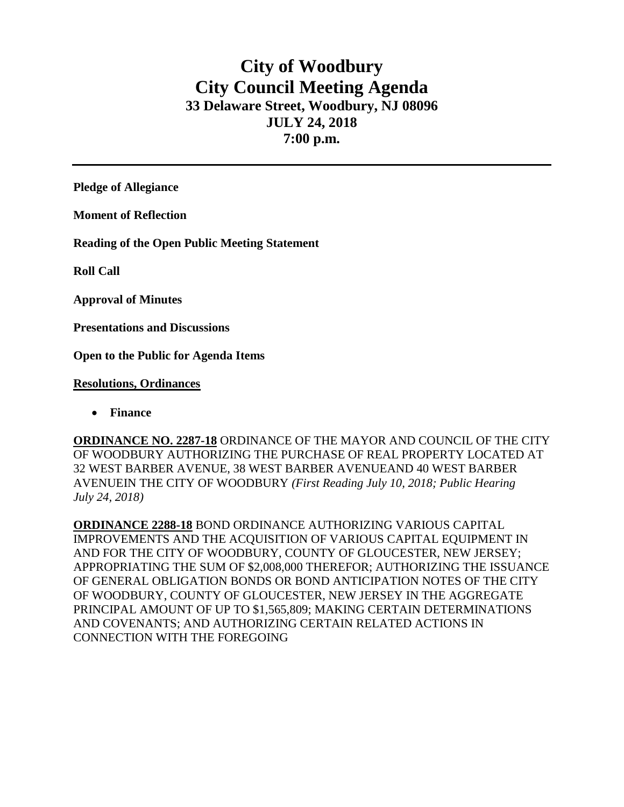# **City of Woodbury City Council Meeting Agenda 33 Delaware Street, Woodbury, NJ 08096 JULY 24, 2018 7:00 p.m.**

**Pledge of Allegiance**

**Moment of Reflection**

**Reading of the Open Public Meeting Statement**

**Roll Call**

**Approval of Minutes**

**Presentations and Discussions**

**Open to the Public for Agenda Items**

### **Resolutions, Ordinances**

• **Finance** 

**ORDINANCE NO. 2287-18** ORDINANCE OF THE MAYOR AND COUNCIL OF THE CITY OF WOODBURY AUTHORIZING THE PURCHASE OF REAL PROPERTY LOCATED AT 32 WEST BARBER AVENUE, 38 WEST BARBER AVENUEAND 40 WEST BARBER AVENUEIN THE CITY OF WOODBURY *(First Reading July 10, 2018; Public Hearing July 24, 2018)*

**ORDINANCE 2288-18** BOND ORDINANCE AUTHORIZING VARIOUS CAPITAL IMPROVEMENTS AND THE ACQUISITION OF VARIOUS CAPITAL EQUIPMENT IN AND FOR THE CITY OF WOODBURY, COUNTY OF GLOUCESTER, NEW JERSEY; APPROPRIATING THE SUM OF \$2,008,000 THEREFOR; AUTHORIZING THE ISSUANCE OF GENERAL OBLIGATION BONDS OR BOND ANTICIPATION NOTES OF THE CITY OF WOODBURY, COUNTY OF GLOUCESTER, NEW JERSEY IN THE AGGREGATE PRINCIPAL AMOUNT OF UP TO \$1,565,809; MAKING CERTAIN DETERMINATIONS AND COVENANTS; AND AUTHORIZING CERTAIN RELATED ACTIONS IN CONNECTION WITH THE FOREGOING